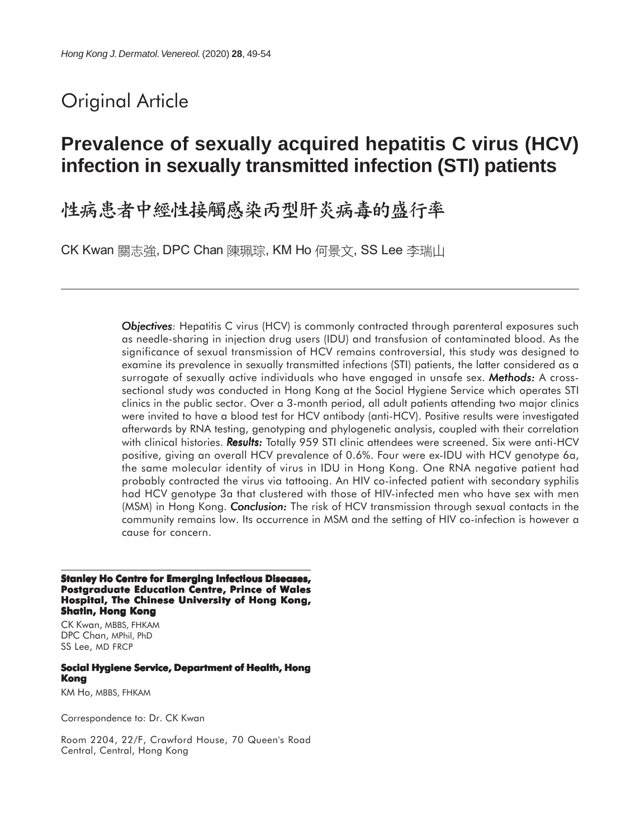# Original Article

# **Prevalence of sexually acquired hepatitis C virus (HCV) infection in sexually transmitted infection (STI) patients**

# 性病患者中經性接觸感染丙型肝炎病毒的盛行率

CK Kwan 關志強, DPC Chan 陳珮琮, KM Ho 何景文, SS Lee 李瑞山

**Objectives:** Hepatitis C virus (HCV) is commonly contracted through parenteral exposures such as needle-sharing in injection drug users (IDU) and transfusion of contaminated blood. As the significance of sexual transmission of HCV remains controversial, this study was designed to examine its prevalence in sexually transmitted infections (STI) patients, the latter considered as a surrogate of sexually active individuals who have engaged in unsafe sex. *Methods:* A crosssectional study was conducted in Hong Kong at the Social Hygiene Service which operates STI clinics in the public sector. Over a 3-month period, all adult patients attending two major clinics were invited to have a blood test for HCV antibody (anti-HCV). Positive results were investigated afterwards by RNA testing, genotyping and phylogenetic analysis, coupled with their correlation with clinical histories. **Results:** Totally 959 STI clinic attendees were screened. Six were anti-HCV positive, giving an overall HCV prevalence of 0.6%. Four were ex-IDU with HCV genotype 6a, the same molecular identity of virus in IDU in Hong Kong. One RNA negative patient had probably contracted the virus via tattooing. An HIV co-infected patient with secondary syphilis had HCV genotype 3a that clustered with those of HIV-infected men who have sex with men (MSM) in Hong Kong. *Conclusion: Conclusion:* The risk of HCV transmission through sexual contacts in the community remains low. Its occurrence in MSM and the setting of HIV co-infection is however a cause for concern.

#### **Stanley Ho Centre for Emerging Infectious Diseases, Postgraduate Education Centre, Prince of Wales Hospital, The Chinese University of Hong Kong, Shatin, Hong Kong**

CK Kwan, MBBS, FHKAM DPC Chan, MPhil, PhD SS Lee, MD FRCP

#### **Social Hygiene Service, Department of Health, Hong Kong**

KM Ho, MBBS, FHKAM

Correspondence to: Dr. CK Kwan

Room 2204, 22/F, Crawford House, 70 Queen's Road Central, Central, Hong Kong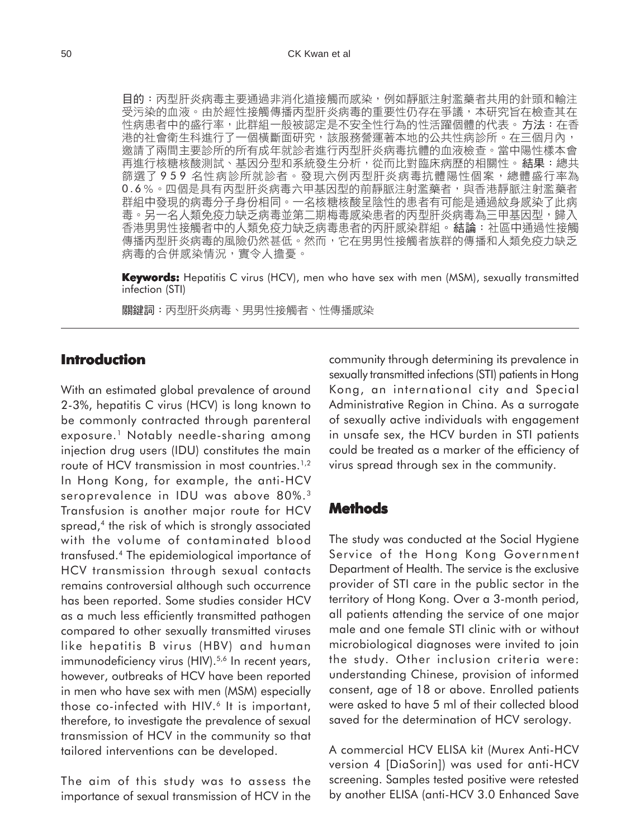目的:丙型肝炎病毒主要通過非消化道接觸而感染,例如靜脈注射濫藥者共用的針頭和輸注 受污染的血液。由於經性接觸傳播丙型肝炎病毒的重要性仍存在爭議,本研究旨在檢查其在 性病患者中的盛行率,此群組一般被認定是不安全性行為的性活躍個體的代表。方法:在香 港的社會衛生科進行了一個橫斷面研究,該服務營運著本地的公共性病診所。在三個月內, 邀請了兩間主要診所的所有成年就診者進行丙型肝炎病毒抗體的血液檢查。當中陽性樣本會 再進行核糖核酸測試、基因分型和系統發生分析,從而比對臨床病歷的相關性。結果:總共 篩選了 9 5 9 名性病診所就診者。發現六例丙型肝炎病毒抗體陽性個案,總體盛行率為 0.6%。四個是具有丙型肝炎病毒六甲基因型的前靜脈注射濫藥者,與香港靜脈注射濫藥者 群組中發現的病毒分子身份相同。一名核糖核酸呈陰性的患者有可能是通過紋身感染了此病 毒。另一名人類免疫力缺乏病毒並第二期梅毒感染患者的丙型肝炎病毒為三甲基因型,歸入 香港男男性接觸者中的人類免疫力缺乏病毒患者的丙肝感染群組。結論:社區中通過性接觸 傳播丙型肝炎病毒的風險仍然甚低。然而,它在男男性接觸者族群的傳播和人類免疫力缺乏 病毒的合併感染情況,實令人擔憂。

**Keywords:** Hepatitis C virus (HCV), men who have sex with men (MSM), sexually transmitted infection (STI)

關鍵詞:丙型肝炎病毒、男男性接觸者、性傳播感染

## **Introduction**

With an estimated global prevalence of around 2-3%, hepatitis C virus (HCV) is long known to be commonly contracted through parenteral exposure.<sup>1</sup> Notably needle-sharing among injection drug users (IDU) constitutes the main route of HCV transmission in most countries.<sup>1,2</sup> In Hong Kong, for example, the anti-HCV seroprevalence in IDU was above 80%.<sup>3</sup> Transfusion is another major route for HCV spread,<sup>4</sup> the risk of which is strongly associated with the volume of contaminated blood transfused.4 The epidemiological importance of HCV transmission through sexual contacts remains controversial although such occurrence has been reported. Some studies consider HCV as a much less efficiently transmitted pathogen compared to other sexually transmitted viruses like hepatitis B virus (HBV) and human immunodeficiency virus (HIV).<sup>5,6</sup> In recent years, however, outbreaks of HCV have been reported in men who have sex with men (MSM) especially those co-infected with HIV.<sup>6</sup> It is important, therefore, to investigate the prevalence of sexual transmission of HCV in the community so that tailored interventions can be developed.

The aim of this study was to assess the importance of sexual transmission of HCV in the community through determining its prevalence in sexually transmitted infections (STI) patients in Hong Kong, an international city and Special Administrative Region in China. As a surrogate of sexually active individuals with engagement in unsafe sex, the HCV burden in STI patients could be treated as a marker of the efficiency of virus spread through sex in the community.

#### **Methods**

The study was conducted at the Social Hygiene Service of the Hong Kong Government Department of Health. The service is the exclusive provider of STI care in the public sector in the territory of Hong Kong. Over a 3-month period, all patients attending the service of one major male and one female STI clinic with or without microbiological diagnoses were invited to join the study. Other inclusion criteria were: understanding Chinese, provision of informed consent, age of 18 or above. Enrolled patients were asked to have 5 ml of their collected blood saved for the determination of HCV serology.

A commercial HCV ELISA kit (Murex Anti-HCV version 4 [DiaSorin]) was used for anti-HCV screening. Samples tested positive were retested by another ELISA (anti-HCV 3.0 Enhanced Save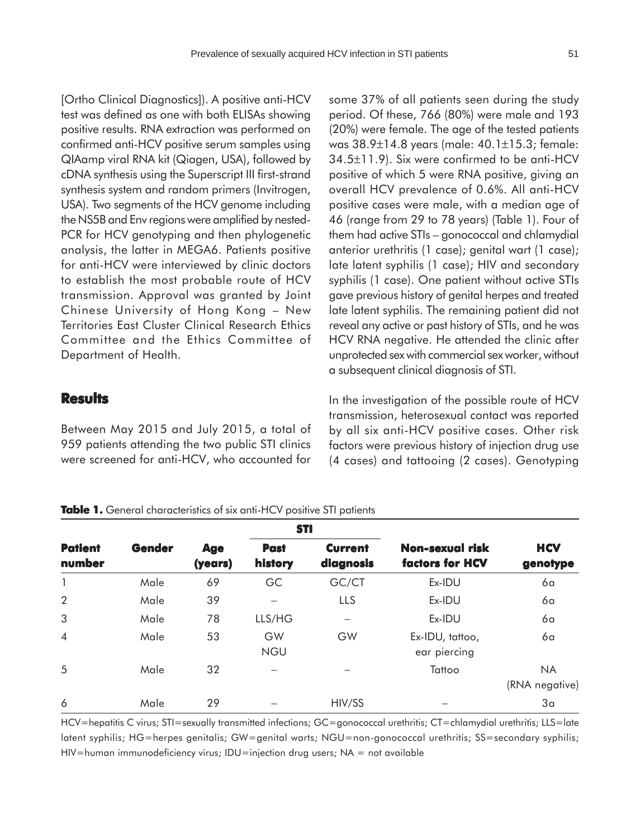[Ortho Clinical Diagnostics]). A positive anti-HCV test was defined as one with both ELISAs showing positive results. RNA extraction was performed on confirmed anti-HCV positive serum samples using QIAamp viral RNA kit (Qiagen, USA), followed by cDNA synthesis using the Superscript III first-strand synthesis system and random primers (Invitrogen, USA). Two segments of the HCV genome including the NS5B and Env regions were amplified by nested-PCR for HCV genotyping and then phylogenetic analysis, the latter in MEGA6. Patients positive for anti-HCV were interviewed by clinic doctors to establish the most probable route of HCV transmission. Approval was granted by Joint Chinese University of Hong Kong – New Territories East Cluster Clinical Research Ethics Committee and the Ethics Committee of Department of Health.

### **Results**

Between May 2015 and July 2015, a total of 959 patients attending the two public STI clinics were screened for anti-HCV, who accounted for some 37% of all patients seen during the study period. Of these, 766 (80%) were male and 193 (20%) were female. The age of the tested patients was 38.9±14.8 years (male: 40.1±15.3; female: 34.5±11.9). Six were confirmed to be anti-HCV positive of which 5 were RNA positive, giving an overall HCV prevalence of 0.6%. All anti-HCV positive cases were male, with a median age of 46 (range from 29 to 78 years) (Table 1). Four of them had active STIs – gonococcal and chlamydial anterior urethritis (1 case); genital wart (1 case); late latent syphilis (1 case); HIV and secondary syphilis (1 case). One patient without active STIs gave previous history of genital herpes and treated late latent syphilis. The remaining patient did not reveal any active or past history of STIs, and he was HCV RNA negative. He attended the clinic after unprotected sex with commercial sex worker, without a subsequent clinical diagnosis of STI.

In the investigation of the possible route of HCV transmission, heterosexual contact was reported by all six anti-HCV positive cases. Other risk factors were previous history of injection drug use (4 cases) and tattooing (2 cases). Genotyping

#### Table 1. General characteristics of six anti-HCV positive STI patients

| <b>Patient</b><br>number | Gender | <b>Age</b><br>(years) | <b>STI</b>             |                             |                                    |                             |
|--------------------------|--------|-----------------------|------------------------|-----------------------------|------------------------------------|-----------------------------|
|                          |        |                       | <b>Past</b><br>history | <b>Current</b><br>diagnosis | Non-sexual risk<br>factors for HCV | <b>HCV</b><br>genotype      |
| 1                        | Male   | 69                    | GC                     | GC/CT                       | Ex-IDU                             | 6a                          |
| $\overline{2}$           | Male   | 39                    |                        | LLS                         | Ex-IDU                             | 6a                          |
| 3                        | Male   | 78                    | LLS/HG                 | —                           | Ex-IDU                             | 6a                          |
| $\overline{4}$           | Male   | 53                    | GW<br><b>NGU</b>       | GW                          | Ex-IDU, tattoo,<br>ear piercing    | 6a                          |
| 5                        | Male   | 32                    |                        |                             | Tattoo                             | <b>NA</b><br>(RNA negative) |
| 6                        | Male   | 29                    |                        | HIV/SS                      |                                    | 3 <sub>a</sub>              |

HCV=hepatitis C virus; STI=sexually transmitted infections; GC=gonococcal urethritis; CT=chlamydial urethritis; LLS=late latent syphilis; HG=herpes genitalis; GW=genital warts; NGU=non-gonococcal urethritis; SS=secondary syphilis; HIV=human immunodeficiency virus; IDU=injection drug users; NA = not available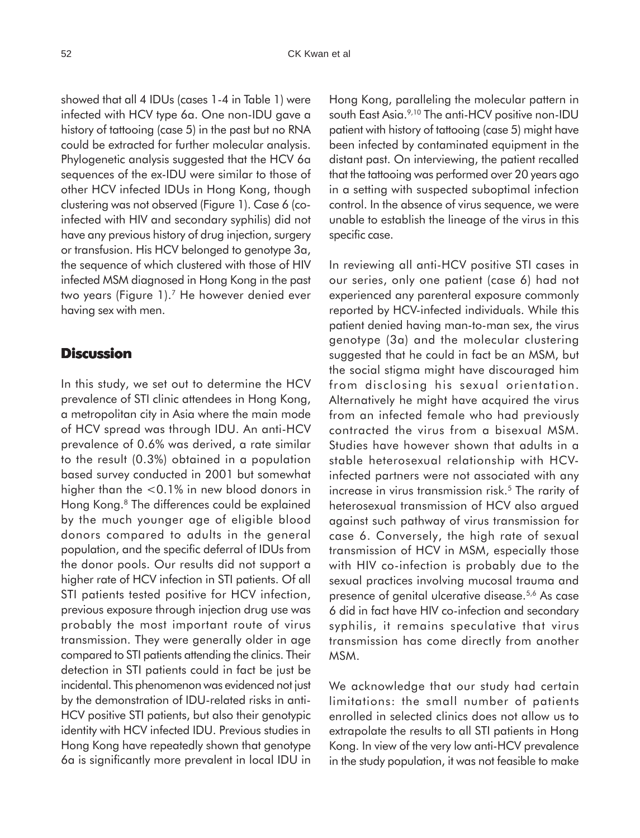showed that all 4 IDUs (cases 1-4 in Table 1) were infected with HCV type 6a. One non-IDU gave a history of tattooing (case 5) in the past but no RNA could be extracted for further molecular analysis. Phylogenetic analysis suggested that the HCV 6a sequences of the ex-IDU were similar to those of other HCV infected IDUs in Hong Kong, though clustering was not observed (Figure 1). Case 6 (coinfected with HIV and secondary syphilis) did not have any previous history of drug injection, surgery or transfusion. His HCV belonged to genotype 3a, the sequence of which clustered with those of HIV infected MSM diagnosed in Hong Kong in the past two years (Figure 1).7 He however denied ever having sex with men.

### **Discussion**

In this study, we set out to determine the HCV prevalence of STI clinic attendees in Hong Kong, a metropolitan city in Asia where the main mode of HCV spread was through IDU. An anti-HCV prevalence of 0.6% was derived, a rate similar to the result (0.3%) obtained in a population based survey conducted in 2001 but somewhat higher than the <0.1% in new blood donors in Hong Kong.8 The differences could be explained by the much younger age of eligible blood donors compared to adults in the general population, and the specific deferral of IDUs from the donor pools. Our results did not support a higher rate of HCV infection in STI patients. Of all STI patients tested positive for HCV infection, previous exposure through injection drug use was probably the most important route of virus transmission. They were generally older in age compared to STI patients attending the clinics. Their detection in STI patients could in fact be just be incidental. This phenomenon was evidenced not just by the demonstration of IDU-related risks in anti-HCV positive STI patients, but also their genotypic identity with HCV infected IDU. Previous studies in Hong Kong have repeatedly shown that genotype 6a is significantly more prevalent in local IDU in

Hong Kong, paralleling the molecular pattern in south East Asia.<sup>9,10</sup> The anti-HCV positive non-IDU patient with history of tattooing (case 5) might have been infected by contaminated equipment in the distant past. On interviewing, the patient recalled that the tattooing was performed over 20 years ago in a setting with suspected suboptimal infection control. In the absence of virus sequence, we were unable to establish the lineage of the virus in this specific case.

In reviewing all anti-HCV positive STI cases in our series, only one patient (case 6) had not experienced any parenteral exposure commonly reported by HCV-infected individuals. While this patient denied having man-to-man sex, the virus genotype (3a) and the molecular clustering suggested that he could in fact be an MSM, but the social stigma might have discouraged him from disclosing his sexual orientation. Alternatively he might have acquired the virus from an infected female who had previously contracted the virus from a bisexual MSM. Studies have however shown that adults in a stable heterosexual relationship with HCVinfected partners were not associated with any increase in virus transmission risk.<sup>5</sup> The rarity of heterosexual transmission of HCV also argued against such pathway of virus transmission for case 6. Conversely, the high rate of sexual transmission of HCV in MSM, especially those with HIV co-infection is probably due to the sexual practices involving mucosal trauma and presence of genital ulcerative disease.5,6 As case 6 did in fact have HIV co-infection and secondary syphilis, it remains speculative that virus transmission has come directly from another MSM.

We acknowledge that our study had certain limitations: the small number of patients enrolled in selected clinics does not allow us to extrapolate the results to all STI patients in Hong Kong. In view of the very low anti-HCV prevalence in the study population, it was not feasible to make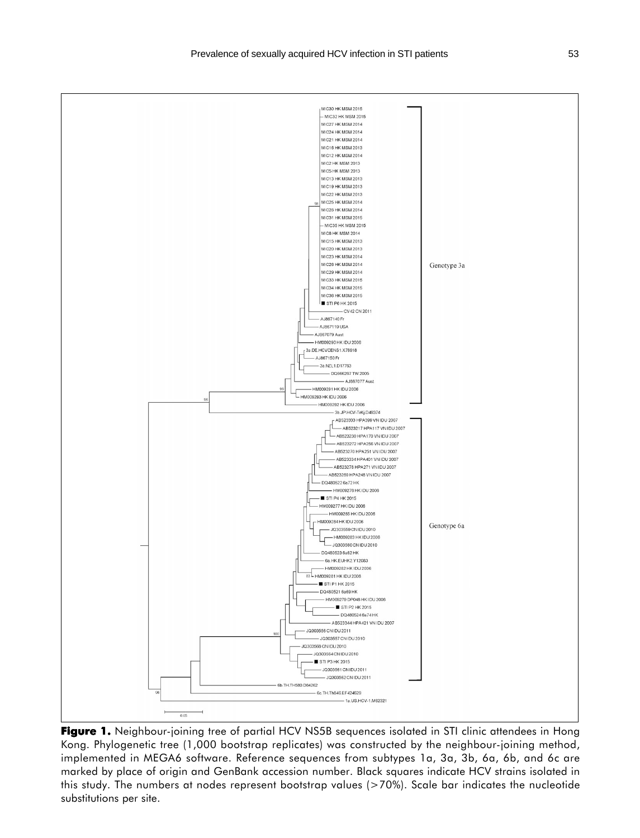

Figure 1. Neighbour-joining tree of partial HCV NS5B sequences isolated in STI clinic attendees in Hong Kong. Phylogenetic tree (1,000 bootstrap replicates) was constructed by the neighbour-joining method, implemented in MEGA6 software. Reference sequences from subtypes 1a, 3a, 3b, 6a, 6b, and 6c are marked by place of origin and GenBank accession number. Black squares indicate HCV strains isolated in this study. The numbers at nodes represent bootstrap values (>70%). Scale bar indicates the nucleotide substitutions per site.